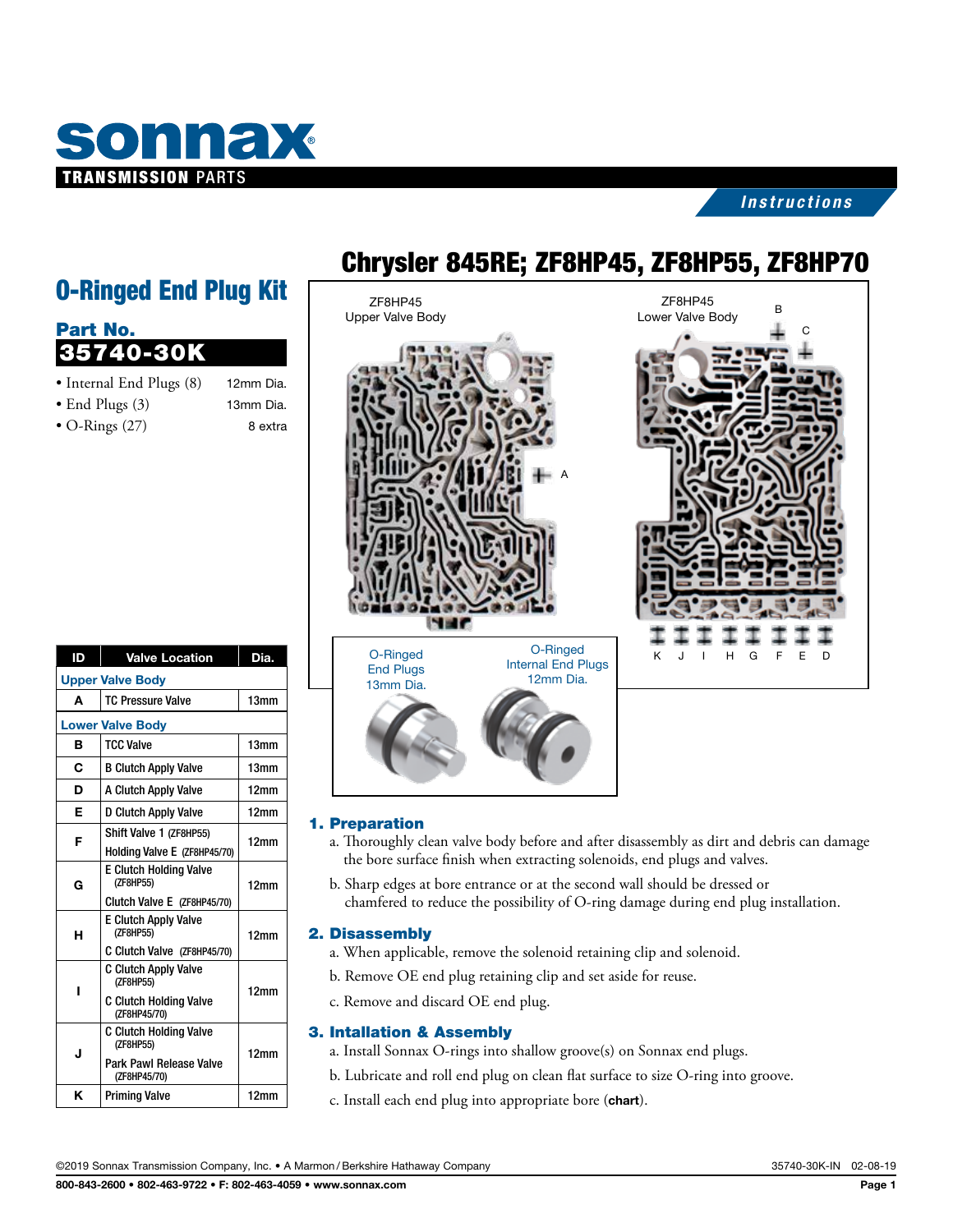

### *Instructions*

# O-Ringed End Plug Kit

| Part No.                 |           |
|--------------------------|-----------|
| 35740-30K                |           |
| • Internal End Plugs (8) | 12mm Dia. |
| $\bullet$ End Plugs (3)  | 13mm Dia. |
| $\bullet$ O-Rings (27)   | 8 extra   |

| ID                      | <b>Valve Location</b>                                                                     | Dia.             |
|-------------------------|-------------------------------------------------------------------------------------------|------------------|
| <b>Upper Valve Body</b> |                                                                                           |                  |
| A                       | <b>TC Pressure Valve</b>                                                                  | 13mm             |
| <b>Lower Valve Body</b> |                                                                                           |                  |
| в                       | <b>TCC Valve</b>                                                                          | 13mm             |
| C                       | <b>B Clutch Apply Valve</b>                                                               | 13mm             |
| D                       | A Clutch Apply Valve                                                                      | 12 <sub>mm</sub> |
| Е                       | D Clutch Apply Valve                                                                      | 12 <sub>mm</sub> |
| F                       | Shift Valve 1 (ZF8HP55)<br>Holding Valve E (ZF8HP45/70)                                   | 12 <sub>mm</sub> |
| G                       | <b>E Clutch Holding Valve</b><br>(ZF8HP55)<br>Clutch Valve E (ZF8HP45/70)                 | 12 <sub>mm</sub> |
| н                       | <b>E Clutch Apply Valve</b><br>(ZF8HP55)<br>C Clutch Valve (ZF8HP45/70)                   | 12 <sub>mm</sub> |
| ı                       | <b>C Clutch Apply Valve</b><br>(ZF8HP55)<br><b>C Clutch Holding Valve</b><br>(ZF8HP45/70) | 12 <sub>mm</sub> |
| J                       | <b>C Clutch Holding Valve</b><br>(ZF8HP55)<br>Park Pawl Release Valve<br>(ZF8HP45/70)     | 12 <sub>mm</sub> |
| κ                       | <b>Priming Valve</b>                                                                      | 12 <sub>mm</sub> |

## Chrysler 845RE; ZF8HP45, ZF8HP55, ZF8HP70

ZF8HP45 Upper Valve Body





## O-Ringed End Plugs 13mm Dia. O-Ringed Internal End Plugs 12mm Dia.

#### 1. Preparation

- a. Thoroughly clean valve body before and after disassembly as dirt and debris can damage the bore surface finish when extracting solenoids, end plugs and valves.
- b. Sharp edges at bore entrance or at the second wall should be dressed or chamfered to reduce the possibility of O-ring damage during end plug installation.

#### 2. Disassembly

- a. When applicable, remove the solenoid retaining clip and solenoid.
- b. Remove OE end plug retaining clip and set aside for reuse.
- c. Remove and discard OE end plug.

#### 3. Intallation & Assembly

- a. Install Sonnax O-rings into shallow groove(s) on Sonnax end plugs.
- b. Lubricate and roll end plug on clean flat surface to size O-ring into groove.
- c. Install each end plug into appropriate bore (chart).